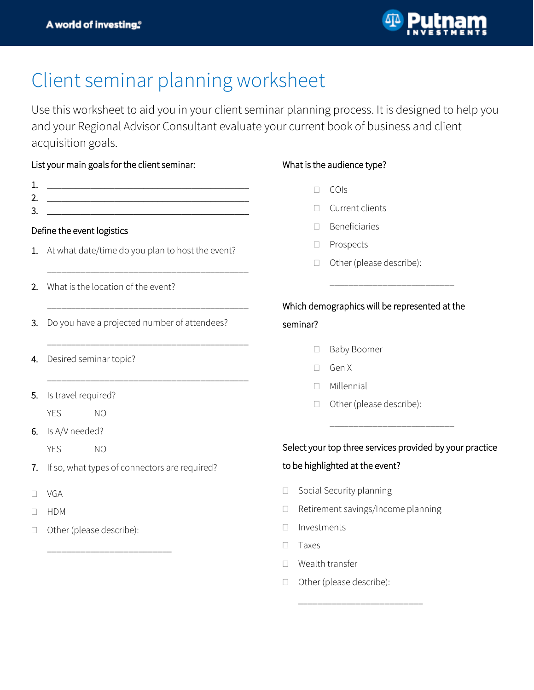

## Client seminar planning worksheet

Use this worksheet to aid you in your client seminar planning process. It is designed to help you and your Regional Advisor Consultant evaluate your current book of business and client acquisition goals.

## List your main goals for the client seminar:

| 1.<br>2.<br>З.             |                                              | <u> 1989 - Johann Barn, mars ann an t-Amhain an t-Amhain an t-Amhain an t-Amhain an t-Amhain an t-Amhain an t-Amh</u><br><u> 1980 - Jan Barbara Barbara, manazarta da kasas da kasas da kasas da kasas da kasas da kasas da kasas da kasa</u><br><u> 1980 - Jan Stein Stein Stein Stein Stein Stein Stein Stein Stein Stein Stein Stein Stein Stein Stein Stein S</u> |  |  |
|----------------------------|----------------------------------------------|-----------------------------------------------------------------------------------------------------------------------------------------------------------------------------------------------------------------------------------------------------------------------------------------------------------------------------------------------------------------------|--|--|
| Define the event logistics |                                              |                                                                                                                                                                                                                                                                                                                                                                       |  |  |
| 1.                         |                                              | At what date/time do you plan to host the event?                                                                                                                                                                                                                                                                                                                      |  |  |
|                            |                                              |                                                                                                                                                                                                                                                                                                                                                                       |  |  |
| 2.                         | What is the location of the event?           |                                                                                                                                                                                                                                                                                                                                                                       |  |  |
|                            |                                              |                                                                                                                                                                                                                                                                                                                                                                       |  |  |
| 3.                         | Do you have a projected number of attendees? |                                                                                                                                                                                                                                                                                                                                                                       |  |  |
| 4.                         | Desired seminar topic?                       |                                                                                                                                                                                                                                                                                                                                                                       |  |  |
|                            |                                              |                                                                                                                                                                                                                                                                                                                                                                       |  |  |
| 5.                         | Is travel required?                          |                                                                                                                                                                                                                                                                                                                                                                       |  |  |
|                            | <b>YES</b>                                   | NO                                                                                                                                                                                                                                                                                                                                                                    |  |  |
|                            | 6. Is A/V needed?                            |                                                                                                                                                                                                                                                                                                                                                                       |  |  |
|                            | <b>YES</b>                                   | NO                                                                                                                                                                                                                                                                                                                                                                    |  |  |

- 7. If so, what types of connectors are required?
- D VGA
- $\Box$  HDMI
- □ Other (please describe):

\_\_\_\_\_\_\_\_\_\_\_\_\_\_\_\_\_\_\_\_\_\_\_\_\_\_

## What is the audience type?

- COIs
- Current clients
- Beneficiaries
- □ Prospects
- □ Other (please describe):

## Which demographics will be represented at the seminar?

\_\_\_\_\_\_\_\_\_\_\_\_\_\_\_\_\_\_\_\_\_\_\_\_\_\_

- - □ Baby Boomer
	- □ Gen X
	- Millennial
	- □ Other (please describe):

### Select your top three services provided by your practice

\_\_\_\_\_\_\_\_\_\_\_\_\_\_\_\_\_\_\_\_\_\_\_\_\_\_

### to be highlighted at the event?

- □ Social Security planning
- □ Retirement savings/Income planning

\_\_\_\_\_\_\_\_\_\_\_\_\_\_\_\_\_\_\_\_\_\_\_\_\_\_

- Investments
- $\Box$  Taxes
- Wealth transfer
- □ Other (please describe):